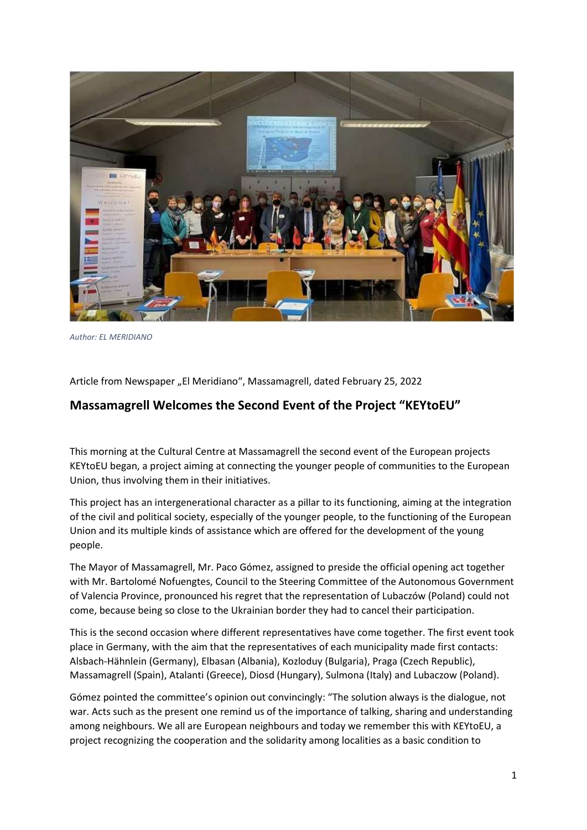

Author: EL MERIDIANO

Article from Newspaper "El Meridiano", Massamagrell, dated February 25, 2022

## Massamagrell Welcomes the Second Event of the Project "KEYtoEU"

This morning at the Cultural Centre at Massamagrell the second event of the European projects KEYtoEU began, a project aiming at connecting the younger people of communities to the European Union, thus involving them in their initiatives.

This project has an intergenerational character as a pillar to its functioning, aiming at the integration of the civil and political society, especially of the younger people, to the functioning of the European Union and its multiple kinds of assistance which are offered for the development of the young people.

The Mayor of Massamagrell, Mr. Paco Gómez, assigned to preside the official opening act together with Mr. Bartolomé Nofuengtes, Council to the Steering Committee of the Autonomous Government of Valencia Province, pronounced his regret that the representation of Lubaczów (Poland) could not come, because being so close to the Ukrainian border they had to cancel their participation.

This is the second occasion where different representatives have come together. The first event took place in Germany, with the aim that the representatives of each municipality made first contacts: Alsbach-Hähnlein (Germany), Elbasan (Albania), Kozloduy (Bulgaria), Praga (Czech Republic), Massamagrell (Spain), Atalanti (Greece), Diosd (Hungary), Sulmona (Italy) and Lubaczow (Poland).

Gómez pointed the committee's opinion out convincingly: "The solution always is the dialogue, not war. Acts such as the present one remind us of the importance of talking, sharing and understanding among neighbours. We all are European neighbours and today we remember this with KEYtoEU, a project recognizing the cooperation and the solidarity among localities as a basic condition to